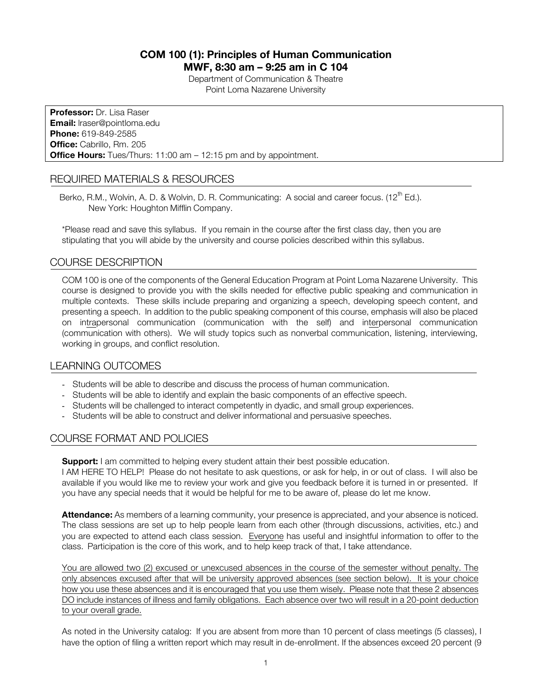# **COM 100 (1): Principles of Human Communication MWF, 8:30 am – 9:25 am in C 104**

Department of Communication & Theatre Point Loma Nazarene University

**Professor:** Dr. Lisa Raser **Email:** lraser@pointloma.edu **Phone:** 619-849-2585 **Office:** Cabrillo, Rm. 205 **Office Hours:** Tues/Thurs: 11:00 am – 12:15 pm and by appointment.

## REQUIRED MATERIALS & RESOURCES

Berko, R.M., Wolvin, A. D. & Wolvin, D. R. Communicating: A social and career focus. (12<sup>th</sup> Ed.). New York: Houghton Mifflin Company.

\*Please read and save this syllabus. If you remain in the course after the first class day, then you are stipulating that you will abide by the university and course policies described within this syllabus.

## COURSE DESCRIPTION

COM 100 is one of the components of the General Education Program at Point Loma Nazarene University. This course is designed to provide you with the skills needed for effective public speaking and communication in multiple contexts. These skills include preparing and organizing a speech, developing speech content, and presenting a speech. In addition to the public speaking component of this course, emphasis will also be placed on intrapersonal communication (communication with the self) and interpersonal communication (communication with others). We will study topics such as nonverbal communication, listening, interviewing, working in groups, and conflict resolution.

## LEARNING OUTCOMES

- Students will be able to describe and discuss the process of human communication.
- Students will be able to identify and explain the basic components of an effective speech.
- Students will be challenged to interact competently in dyadic, and small group experiences.
- Students will be able to construct and deliver informational and persuasive speeches.

# COURSE FORMAT AND POLICIES

**Support:** I am committed to helping every student attain their best possible education.

I AM HERE TO HELP! Please do not hesitate to ask questions, or ask for help, in or out of class. I will also be available if you would like me to review your work and give you feedback before it is turned in or presented. If you have any special needs that it would be helpful for me to be aware of, please do let me know.

**Attendance:** As members of a learning community, your presence is appreciated, and your absence is noticed. The class sessions are set up to help people learn from each other (through discussions, activities, etc.) and you are expected to attend each class session. Everyone has useful and insightful information to offer to the class. Participation is the core of this work, and to help keep track of that, I take attendance.

You are allowed two (2) excused or unexcused absences in the course of the semester without penalty. The only absences excused after that will be university approved absences (see section below). It is your choice how you use these absences and it is encouraged that you use them wisely. Please note that these 2 absences DO include instances of illness and family obligations. Each absence over two will result in a 20-point deduction to your overall grade.

As noted in the University catalog: If you are absent from more than 10 percent of class meetings (5 classes), I have the option of filing a written report which may result in de-enrollment. If the absences exceed 20 percent (9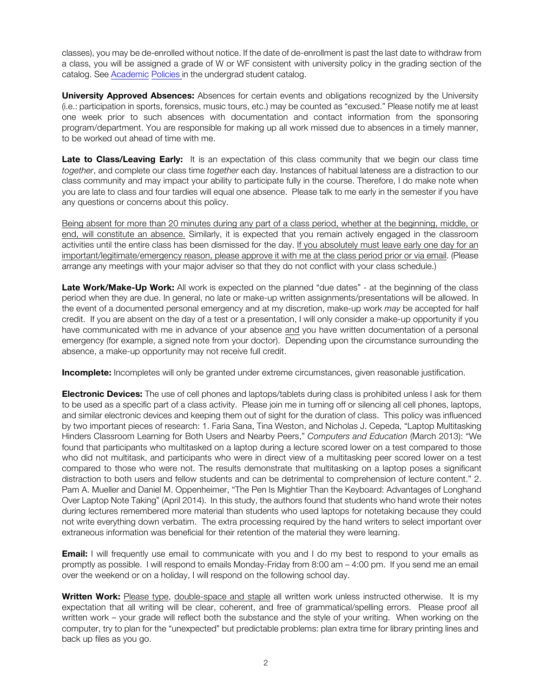classes), you may be de-enrolled without notice. If the date of de-enrollment is past the last date to withdraw from a class, you will be assigned a grade of W or WF consistent with university policy in the grading section of the catalog. See Academic Policies in the undergrad student catalog.

**University Approved Absences:** Absences for certain events and obligations recognized by the University (i.e.: participation in sports, forensics, music tours, etc.) may be counted as "excused." Please notify me at least one week prior to such absences with documentation and contact information from the sponsoring program/department. You are responsible for making up all work missed due to absences in a timely manner, to be worked out ahead of time with me.

**Late to Class/Leaving Early:** It is an expectation of this class community that we begin our class time *together*, and complete our class time *together* each day. Instances of habitual lateness are a distraction to our class community and may impact your ability to participate fully in the course. Therefore, I do make note when you are late to class and four tardies will equal one absence. Please talk to me early in the semester if you have any questions or concerns about this policy.

Being absent for more than 20 minutes during any part of a class period, whether at the beginning, middle, or end, will constitute an absence. Similarly, it is expected that you remain actively engaged in the classroom activities until the entire class has been dismissed for the day. If you absolutely must leave early one day for an important/legitimate/emergency reason, please approve it with me at the class period prior or via email. (Please arrange any meetings with your major adviser so that they do not conflict with your class schedule.)

**Late Work/Make-Up Work:** All work is expected on the planned "due dates" - at the beginning of the class period when they are due. In general, no late or make-up written assignments/presentations will be allowed. In the event of a documented personal emergency and at my discretion, make-up work *may* be accepted for half credit. If you are absent on the day of a test or a presentation, I will only consider a make-up opportunity if you have communicated with me in advance of your absence and you have written documentation of a personal emergency (for example, a signed note from your doctor). Depending upon the circumstance surrounding the absence, a make-up opportunity may not receive full credit.

**Incomplete:** Incompletes will only be granted under extreme circumstances, given reasonable justification.

**Electronic Devices:** The use of cell phones and laptops/tablets during class is prohibited unless I ask for them to be used as a specific part of a class activity. Please join me in turning off or silencing all cell phones, laptops, and similar electronic devices and keeping them out of sight for the duration of class. This policy was influenced by two important pieces of research: 1. Faria Sana, Tina Weston, and Nicholas J. Cepeda, "Laptop Multitasking Hinders Classroom Learning for Both Users and Nearby Peers," *Computers and Education* (March 2013): "We found that participants who multitasked on a laptop during a lecture scored lower on a test compared to those who did not multitask, and participants who were in direct view of a multitasking peer scored lower on a test compared to those who were not. The results demonstrate that multitasking on a laptop poses a significant distraction to both users and fellow students and can be detrimental to comprehension of lecture content." 2. Pam A. Mueller and Daniel M. Oppenheimer, "The Pen Is Mightier Than the Keyboard: Advantages of Longhand Over Laptop Note Taking" (April 2014). In this study, the authors found that students who hand wrote their notes during lectures remembered more material than students who used laptops for notetaking because they could not write everything down verbatim. The extra processing required by the hand writers to select important over extraneous information was beneficial for their retention of the material they were learning.

**Email:** I will frequently use email to communicate with you and I do my best to respond to your emails as promptly as possible. I will respond to emails Monday-Friday from 8:00 am – 4:00 pm. If you send me an email over the weekend or on a holiday, I will respond on the following school day.

**Written Work:** Please type, double-space and staple all written work unless instructed otherwise.It is my expectation that all writing will be clear, coherent, and free of grammatical/spelling errors. Please proof all written work – your grade will reflect both the substance and the style of your writing. When working on the computer, try to plan for the "unexpected" but predictable problems: plan extra time for library printing lines and back up files as you go.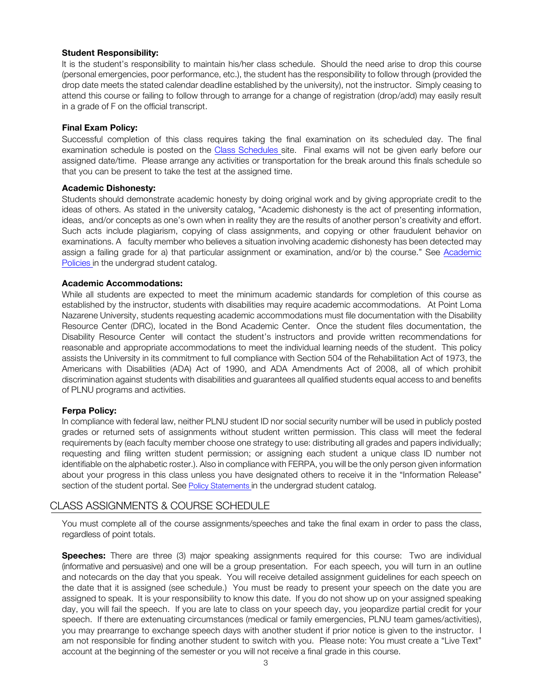### **Student Responsibility:**

It is the student's responsibility to maintain his/her class schedule. Should the need arise to drop this course (personal emergencies, poor performance, etc.), the student has the responsibility to follow through (provided the drop date meets the stated calendar deadline established by the university), not the instructor. Simply ceasing to attend this course or failing to follow through to arrange for a change of registration (drop/add) may easily result in a grade of F on the official transcript.

### **Final Exam Policy:**

Successful completion of this class requires taking the final examination on its scheduled day. The final examination schedule is posted on the Class Schedules site. Final exams will not be given early before our assigned date/time. Please arrange any activities or transportation for the break around this finals schedule so that you can be present to take the test at the assigned time.

#### **Academic Dishonesty:**

Students should demonstrate academic honesty by doing original work and by giving appropriate credit to the ideas of others. As stated in the university catalog, "Academic dishonesty is the act of presenting information, ideas, and/or concepts as one's own when in reality they are the results of another person's creativity and effort. Such acts include plagiarism, copying of class assignments, and copying or other fraudulent behavior on examinations. A faculty member who believes a situation involving academic dishonesty has been detected may assign a failing grade for a) that particular assignment or examination, and/or b) the course." See Academic Policies in the undergrad student catalog.

### **Academic Accommodations:**

While all students are expected to meet the minimum academic standards for completion of this course as established by the instructor, students with disabilities may require academic accommodations. At Point Loma Nazarene University, students requesting academic accommodations must file documentation with the Disability Resource Center (DRC), located in the Bond Academic Center. Once the student files documentation, the Disability Resource Center will contact the student's instructors and provide written recommendations for reasonable and appropriate accommodations to meet the individual learning needs of the student. This policy assists the University in its commitment to full compliance with Section 504 of the Rehabilitation Act of 1973, the Americans with Disabilities (ADA) Act of 1990, and ADA Amendments Act of 2008, all of which prohibit discrimination against students with disabilities and guarantees all qualified students equal access to and benefits of PLNU programs and activities.

## **Ferpa Policy:**

In compliance with federal law, neither PLNU student ID nor social security number will be used in publicly posted grades or returned sets of assignments without student written permission. This class will meet the federal requirements by (each faculty member choose one strategy to use: distributing all grades and papers individually; requesting and filing written student permission; or assigning each student a unique class ID number not identifiable on the alphabetic roster.). Also in compliance with FERPA, you will be the only person given information about your progress in this class unless you have designated others to receive it in the "Information Release" section of the student portal. See Policy Statements in the undergrad student catalog.

## CLASS ASSIGNMENTS & COURSE SCHEDULE

You must complete all of the course assignments/speeches and take the final exam in order to pass the class, regardless of point totals.

**Speeches:** There are three (3) major speaking assignments required for this course: Two are individual (informative and persuasive) and one will be a group presentation. For each speech, you will turn in an outline and notecards on the day that you speak. You will receive detailed assignment guidelines for each speech on the date that it is assigned (see schedule.) You must be ready to present your speech on the date you are assigned to speak. It is your responsibility to know this date. If you do not show up on your assigned speaking day, you will fail the speech. If you are late to class on your speech day, you jeopardize partial credit for your speech. If there are extenuating circumstances (medical or family emergencies, PLNU team games/activities), you may prearrange to exchange speech days with another student if prior notice is given to the instructor. I am not responsible for finding another student to switch with you. Please note: You must create a "Live Text" account at the beginning of the semester or you will not receive a final grade in this course.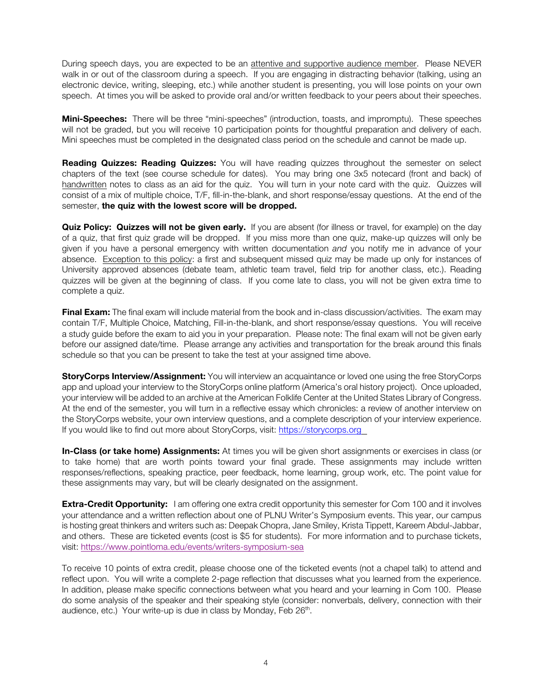During speech days, you are expected to be an attentive and supportive audience member. Please NEVER walk in or out of the classroom during a speech. If you are engaging in distracting behavior (talking, using an electronic device, writing, sleeping, etc.) while another student is presenting, you will lose points on your own speech. At times you will be asked to provide oral and/or written feedback to your peers about their speeches.

**Mini-Speeches:** There will be three "mini-speeches" (introduction, toasts, and impromptu). These speeches will not be graded, but you will receive 10 participation points for thoughtful preparation and delivery of each. Mini speeches must be completed in the designated class period on the schedule and cannot be made up.

**Reading Quizzes: Reading Quizzes:** You will have reading quizzes throughout the semester on select chapters of the text (see course schedule for dates). You may bring one 3x5 notecard (front and back) of handwritten notes to class as an aid for the quiz. You will turn in your note card with the quiz. Quizzes will consist of a mix of multiple choice, T/F, fill-in-the-blank, and short response/essay questions. At the end of the semester, **the quiz with the lowest score will be dropped.**

**Quiz Policy: Quizzes will not be given early.** If you are absent (for illness or travel, for example) on the day of a quiz, that first quiz grade will be dropped. If you miss more than one quiz, make-up quizzes will only be given if you have a personal emergency with written documentation *and* you notify me in advance of your absence. Exception to this policy: a first and subsequent missed quiz may be made up only for instances of University approved absences (debate team, athletic team travel, field trip for another class, etc.). Reading quizzes will be given at the beginning of class. If you come late to class, you will not be given extra time to complete a quiz.

**Final Exam:** The final exam will include material from the book and in-class discussion/activities. The exam may contain T/F, Multiple Choice, Matching, Fill-in-the-blank, and short response/essay questions. You will receive a study guide before the exam to aid you in your preparation. Please note: The final exam will not be given early before our assigned date/time. Please arrange any activities and transportation for the break around this finals schedule so that you can be present to take the test at your assigned time above.

**StoryCorps Interview/Assignment:** You will interview an acquaintance or loved one using the free StoryCorps app and upload your interview to the StoryCorps online platform (America's oral history project). Once uploaded, your interview will be added to an archive at the American Folklife Center at the United States Library of Congress. At the end of the semester, you will turn in a reflective essay which chronicles: a review of another interview on the StoryCorps website, your own interview questions, and a complete description of your interview experience. If you would like to find out more about StoryCorps, visit: https://storycorps.org

**In-Class (or take home) Assignments:** At times you will be given short assignments or exercises in class (or to take home) that are worth points toward your final grade. These assignments may include written responses/reflections, speaking practice, peer feedback, home learning, group work, etc. The point value for these assignments may vary, but will be clearly designated on the assignment.

**Extra-Credit Opportunity:** I am offering one extra credit opportunity this semester for Com 100 and it involves your attendance and a written reflection about one of PLNU Writer's Symposium events. This year, our campus is hosting great thinkers and writers such as: Deepak Chopra, Jane Smiley, Krista Tippett, Kareem Abdul-Jabbar, and others. These are ticketed events (cost is \$5 for students). For more information and to purchase tickets, visit: https://www.pointloma.edu/events/writers-symposium-sea

To receive 10 points of extra credit, please choose one of the ticketed events (not a chapel talk) to attend and reflect upon.You will write a complete 2-page reflection that discusses what you learned from the experience. In addition, please make specific connections between what you heard and your learning in Com 100. Please do some analysis of the speaker and their speaking style (consider: nonverbals, delivery, connection with their audience, etc.) Your write-up is due in class by Monday, Feb  $26<sup>th</sup>$ .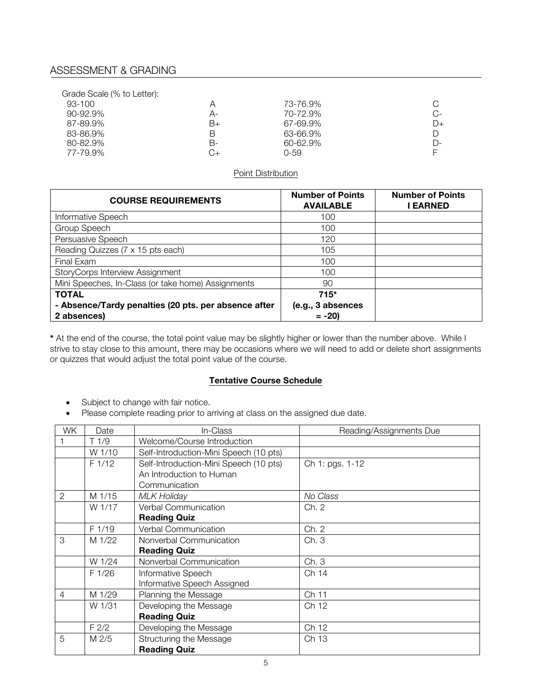# ASSESSMENT & GRADING

| Grade Scale (% to Letter): |    |          |      |
|----------------------------|----|----------|------|
| 93-100                     | А  | 73-76.9% | C    |
| $90 - 92.9\%$              | А- | 70-72.9% | C-   |
| 87-89.9%                   | B+ | 67-69.9% | $D+$ |
| 83-86.9%                   | В  | 63-66.9% | D    |
| 80-82.9%                   | в- | 60-62.9% | D-   |
| 77-79.9%                   | 3+ | 0-59     |      |

#### Point Distribution

| <b>COURSE REQUIREMENTS</b>                           | <b>Number of Points</b><br><b>AVAILABLE</b> | <b>Number of Points</b><br>I EARNED |
|------------------------------------------------------|---------------------------------------------|-------------------------------------|
| Informative Speech                                   | 100                                         |                                     |
| Group Speech                                         | 100                                         |                                     |
| Persuasive Speech                                    | 120                                         |                                     |
| Reading Quizzes (7 x 15 pts each)                    | 105                                         |                                     |
| Final Exam                                           | 100                                         |                                     |
| StoryCorps Interview Assignment                      | 100                                         |                                     |
| Mini Speeches, In-Class (or take home) Assignments   | 90                                          |                                     |
| <b>TOTAL</b>                                         | $715*$                                      |                                     |
| - Absence/Tardy penalties (20 pts. per absence after | (e.g., 3 absences                           |                                     |
| 2 absences)                                          | $= -20$                                     |                                     |

**\*** At the end of the course, the total point value may be slightly higher or lower than the number above. While I strive to stay close to this amount, there may be occasions where we will need to add or delete short assignments or quizzes that would adjust the total point value of the course.

## **Tentative Course Schedule**

- Subject to change with fair notice.
- Please complete reading prior to arriving at class on the assigned due date.

| WK             | Date             | In-Class                               | Reading/Assignments Due |
|----------------|------------------|----------------------------------------|-------------------------|
|                | T1/9             | Welcome/Course Introduction            |                         |
|                | W 1/10           | Self-Introduction-Mini Speech (10 pts) |                         |
|                | F 1/12           | Self-Introduction-Mini Speech (10 pts) | Ch 1: pgs. 1-12         |
|                |                  | An Introduction to Human               |                         |
|                |                  | Communication                          |                         |
| 2              | M 1/15           | MLK Holiday                            | No Class                |
|                | W 1/17           | Verbal Communication                   | Ch. 2                   |
|                |                  | <b>Reading Quiz</b>                    |                         |
|                | F 1/19           | Verbal Communication                   | Ch. 2                   |
| 3              | M 1/22           | Nonverbal Communication                | Ch. 3                   |
|                |                  | <b>Reading Quiz</b>                    |                         |
|                | W 1/24           | Nonverbal Communication                | Ch. 3                   |
|                | F 1/26           | Informative Speech                     | Ch 14                   |
|                |                  | Informative Speech Assigned            |                         |
| $\overline{4}$ | M 1/29           | Planning the Message                   | Ch 11                   |
|                | W 1/31           | Developing the Message                 | Ch 12                   |
|                |                  | <b>Reading Quiz</b>                    |                         |
|                | F <sub>2/2</sub> | Developing the Message                 | Ch 12                   |
| 5              | M <sub>2/5</sub> | Structuring the Message                | Ch 13                   |
|                |                  | <b>Reading Quiz</b>                    |                         |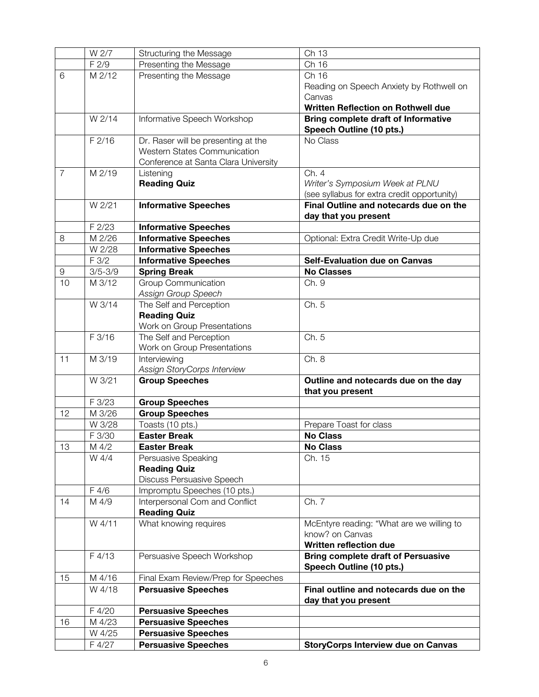|                | W 2/7       | Structuring the Message              | Ch 13                                       |
|----------------|-------------|--------------------------------------|---------------------------------------------|
|                | F 2/9       | Presenting the Message               | Ch 16                                       |
| 6              | M 2/12      | Presenting the Message               | Ch 16                                       |
|                |             |                                      | Reading on Speech Anxiety by Rothwell on    |
|                |             |                                      | Canvas                                      |
|                |             |                                      | Written Reflection on Rothwell due          |
|                | W 2/14      | Informative Speech Workshop          | <b>Bring complete draft of Informative</b>  |
|                |             |                                      | Speech Outline (10 pts.)                    |
|                | F2/16       | Dr. Raser will be presenting at the  | No Class                                    |
|                |             | <b>Western States Communication</b>  |                                             |
|                |             | Conference at Santa Clara University |                                             |
| $\overline{7}$ | M 2/19      | Listening                            | Ch. 4                                       |
|                |             | <b>Reading Quiz</b>                  | Writer's Symposium Week at PLNU             |
|                |             |                                      | (see syllabus for extra credit opportunity) |
|                | W 2/21      | <b>Informative Speeches</b>          | Final Outline and notecards due on the      |
|                |             |                                      | day that you present                        |
|                | F 2/23      | <b>Informative Speeches</b>          |                                             |
| 8              | M 2/26      | <b>Informative Speeches</b>          | Optional: Extra Credit Write-Up due         |
|                | W 2/28      | <b>Informative Speeches</b>          |                                             |
|                | F 3/2       | <b>Informative Speeches</b>          | <b>Self-Evaluation due on Canvas</b>        |
| $\mathsf 9$    | $3/5 - 3/9$ | <b>Spring Break</b>                  | <b>No Classes</b>                           |
| 10             | M 3/12      | Group Communication                  | Ch. 9                                       |
|                |             | Assign Group Speech                  |                                             |
|                | W 3/14      | The Self and Perception              | Ch. 5                                       |
|                |             | <b>Reading Quiz</b>                  |                                             |
|                |             | Work on Group Presentations          |                                             |
|                | F 3/16      | The Self and Perception              | Ch. 5                                       |
|                |             | Work on Group Presentations          |                                             |
| 11             | M 3/19      | Interviewing                         | Ch. 8                                       |
|                |             | Assign StoryCorps Interview          |                                             |
|                | W 3/21      | <b>Group Speeches</b>                | Outline and notecards due on the day        |
|                |             |                                      | that you present                            |
|                | F 3/23      | <b>Group Speeches</b>                |                                             |
| 12             | M 3/26      | <b>Group Speeches</b>                |                                             |
|                | W 3/28      | Toasts (10 pts.)                     | Prepare Toast for class                     |
|                | F 3/30      | <b>Easter Break</b>                  | <b>No Class</b>                             |
| 13             | M 4/2       | <b>Easter Break</b>                  | <b>No Class</b>                             |
|                | W 4/4       | Persuasive Speaking                  | Ch. 15                                      |
|                |             | <b>Reading Quiz</b>                  |                                             |
|                |             | Discuss Persuasive Speech            |                                             |
|                | F 4/6       | Impromptu Speeches (10 pts.)         |                                             |
| 14             | M 4/9       | Interpersonal Com and Conflict       | Ch. 7                                       |
|                |             | <b>Reading Quiz</b>                  |                                             |
|                | W 4/11      | What knowing requires                | McEntyre reading: "What are we willing to   |
|                |             |                                      | know? on Canvas                             |
|                |             |                                      | <b>Written reflection due</b>               |
|                | F4/13       | Persuasive Speech Workshop           | <b>Bring complete draft of Persuasive</b>   |
|                |             |                                      | Speech Outline (10 pts.)                    |
| 15             | M 4/16      | Final Exam Review/Prep for Speeches  |                                             |
|                | W 4/18      | <b>Persuasive Speeches</b>           | Final outline and notecards due on the      |
|                |             |                                      | day that you present                        |
|                | F 4/20      | <b>Persuasive Speeches</b>           |                                             |
| 16             | M 4/23      | <b>Persuasive Speeches</b>           |                                             |
|                | W 4/25      | <b>Persuasive Speeches</b>           |                                             |
|                | F 4/27      | <b>Persuasive Speeches</b>           | <b>StoryCorps Interview due on Canvas</b>   |
|                |             |                                      |                                             |